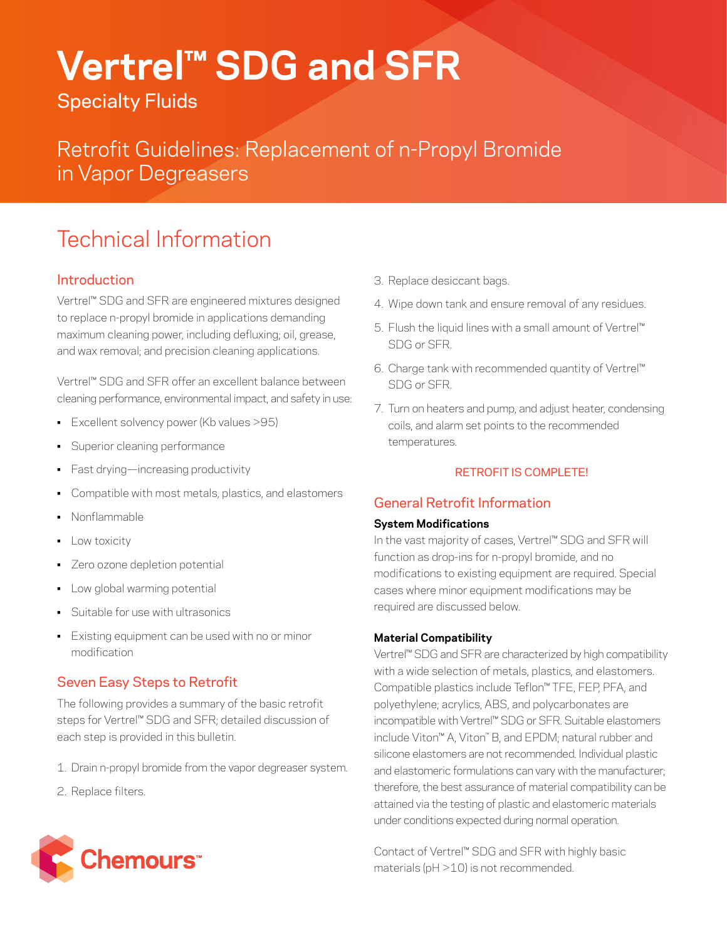# **Vertrel™ SDG and SFR**

Specialty Fluids

Retrofit Guidelines: Replacement of n-Propyl Bromide in Vapor Degreasers

# Technical Information

# **Introduction**

Vertrel™ SDG and SFR are engineered mixtures designed to replace n-propyl bromide in applications demanding maximum cleaning power, including defluxing; oil, grease, and wax removal; and precision cleaning applications.

Vertrel™ SDG and SFR offer an excellent balance between cleaning performance, environmental impact, and safety in use:

- Excellent solvency power (Kb values >95)
- Superior cleaning performance
- Fast drying—increasing productivity
- Compatible with most metals, plastics, and elastomers
- Nonflammable
- **•** Low toxicity
- Zero ozone depletion potential
- Low global warming potential
- Suitable for use with ultrasonics
- Existing equipment can be used with no or minor modification

# Seven Easy Steps to Retrofit

The following provides a summary of the basic retrofit steps for Vertrel™ SDG and SFR; detailed discussion of each step is provided in this bulletin.

- 1. Drain n-propyl bromide from the vapor degreaser system.
- 2. Replace filters.



- 3. Replace desiccant bags.
- 4. Wipe down tank and ensure removal of any residues.
- 5. Flush the liquid lines with a small amount of Vertrel™ SDG or SFR.
- 6. Charge tank with recommended quantity of Vertrel™ SDG or SFR.
- 7. Turn on heaters and pump, and adjust heater, condensing coils, and alarm set points to the recommended temperatures.

## RETROFIT IS COMPLETE!

# General Retrofit Information

#### **System Modifications**

In the vast majority of cases, Vertrel™ SDG and SFR will function as drop-ins for n-propyl bromide, and no modifications to existing equipment are required. Special cases where minor equipment modifications may be required are discussed below.

#### **Material Compatibility**

Vertrel™ SDG and SFR are characterized by high compatibility with a wide selection of metals, plastics, and elastomers. Compatible plastics include Teflon™ TFE, FEP, PFA, and polyethylene; acrylics, ABS, and polycarbonates are incompatible with Vertrel™ SDG or SFR. Suitable elastomers include Viton™ A, Viton™ B, and EPDM; natural rubber and silicone elastomers are not recommended. Individual plastic and elastomeric formulations can vary with the manufacturer; therefore, the best assurance of material compatibility can be attained via the testing of plastic and elastomeric materials under conditions expected during normal operation.

Contact of Vertrel™ SDG and SFR with highly basic materials (pH >10) is not recommended.